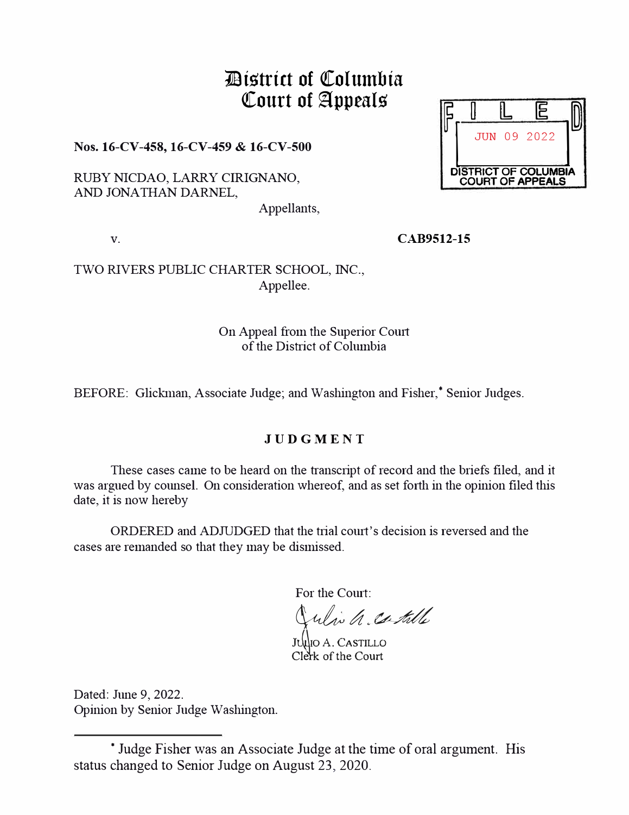# **7JBts'trtct of QColumbta**  Court of Appeals

**Nos. 16-CV-458, 16-CV-459 & 16-CV-500** 

RUBY NICDAO, LARRY CIRIGNANO, AND JONA THAN DARNEL,

Appellants,

**V. CAB9512-15** 

TWO RIVERS PUBLIC CHARTER SCHOOL, INC., Appellee.

#### On Appeal from the Superior Comt of the District of Columbia

BEFORE: Glickman, Associate Judge; and Washington and Fisher,\* Senior Judges.

## **JUDGMENT**

These cases came to be heard on the transcript of record and the briefs filed, and it was argued by counsel. On consideration whereof, and as set forth in the opinion filed this date, it is now hereby

ORDERED and ADJUDGED that the trial court's decision is reversed and the cases are remanded so that they may be dismissed.

For the Court:

which catille

JULIO A. CASTILLO Clerk of the Court

Dated: June 9, 2022. Opinion by Senior Judge Washington.



<sup>\*</sup> Judge Fisher was an Associate Judge at the time of oral argument. His status changed to Senior Judge on August 23, 2020.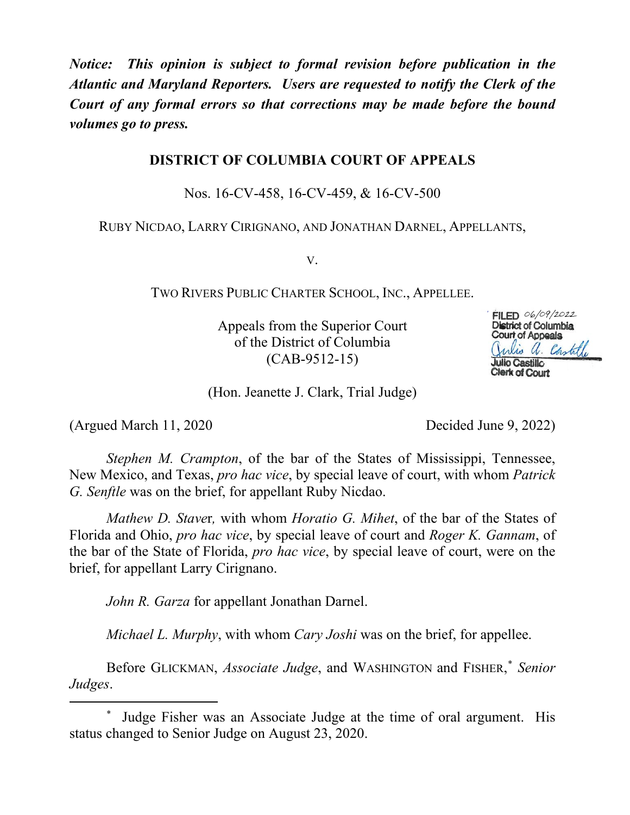*Notice: This opinion is subject to formal revision before publication in the Atlantic and Maryland Reporters. Users are requested to notify the Clerk of the Court of any formal errors so that corrections may be made before the bound volumes go to press.*

### **DISTRICT OF COLUMBIA COURT OF APPEALS**

Nos. 16-CV-458, 16-CV-459, & 16-CV-500

RUBY NICDAO, LARRY CIRIGNANO, AND JONATHAN DARNEL, APPELLANTS,

V.

TWO RIVERS PUBLIC CHARTER SCHOOL, INC., APPELLEE.

Appeals from the Superior Court of the District of Columbia (CAB-9512-15)



(Hon. Jeanette J. Clark, Trial Judge)

(Argued March 11, 2020 Decided June 9, 2022)

*Stephen M. Crampton*, of the bar of the States of Mississippi, Tennessee, New Mexico, and Texas, *pro hac vice*, by special leave of court, with whom *Patrick G. Senftle* was on the brief, for appellant Ruby Nicdao.

*Mathew D. Stave*r*,* with whom *Horatio G. Mihet*, of the bar of the States of Florida and Ohio, *pro hac vice*, by special leave of court and *Roger K. Gannam*, of the bar of the State of Florida, *pro hac vice*, by special leave of court, were on the brief, for appellant Larry Cirignano.

*John R. Garza* for appellant Jonathan Darnel.

*Michael L. Murphy*, with whom *Cary Joshi* was on the brief, for appellee.

Before GLICKMAN, *Associate Judge*, and WASHINGTON and FISHER, \* *Senior Judges*.

Judge Fisher was an Associate Judge at the time of oral argument. His status changed to Senior Judge on August 23, 2020.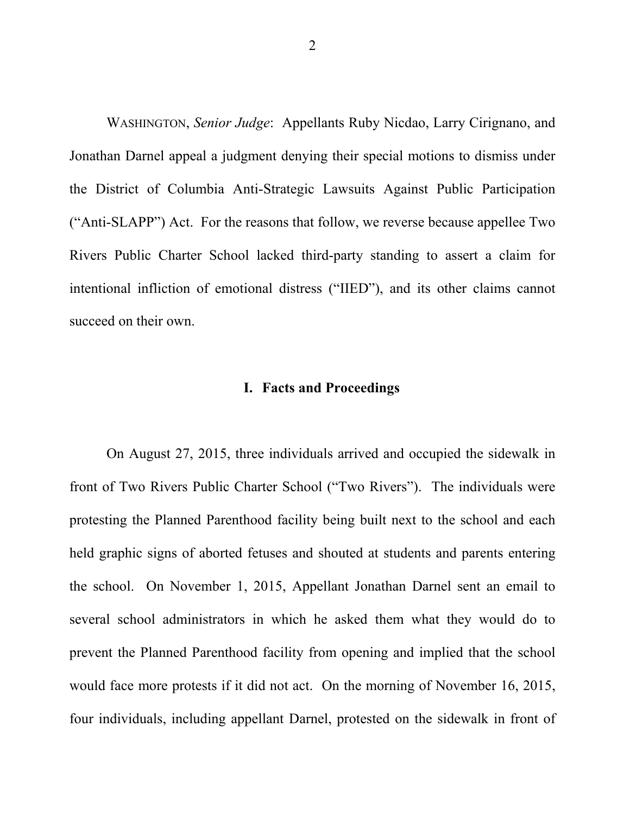WASHINGTON, *Senior Judge*: Appellants Ruby Nicdao, Larry Cirignano, and Jonathan Darnel appeal a judgment denying their special motions to dismiss under the District of Columbia Anti-Strategic Lawsuits Against Public Participation ("Anti-SLAPP") Act. For the reasons that follow, we reverse because appellee Two Rivers Public Charter School lacked third-party standing to assert a claim for intentional infliction of emotional distress ("IIED"), and its other claims cannot succeed on their own.

#### **I. Facts and Proceedings**

On August 27, 2015, three individuals arrived and occupied the sidewalk in front of Two Rivers Public Charter School ("Two Rivers"). The individuals were protesting the Planned Parenthood facility being built next to the school and each held graphic signs of aborted fetuses and shouted at students and parents entering the school. On November 1, 2015, Appellant Jonathan Darnel sent an email to several school administrators in which he asked them what they would do to prevent the Planned Parenthood facility from opening and implied that the school would face more protests if it did not act. On the morning of November 16, 2015, four individuals, including appellant Darnel, protested on the sidewalk in front of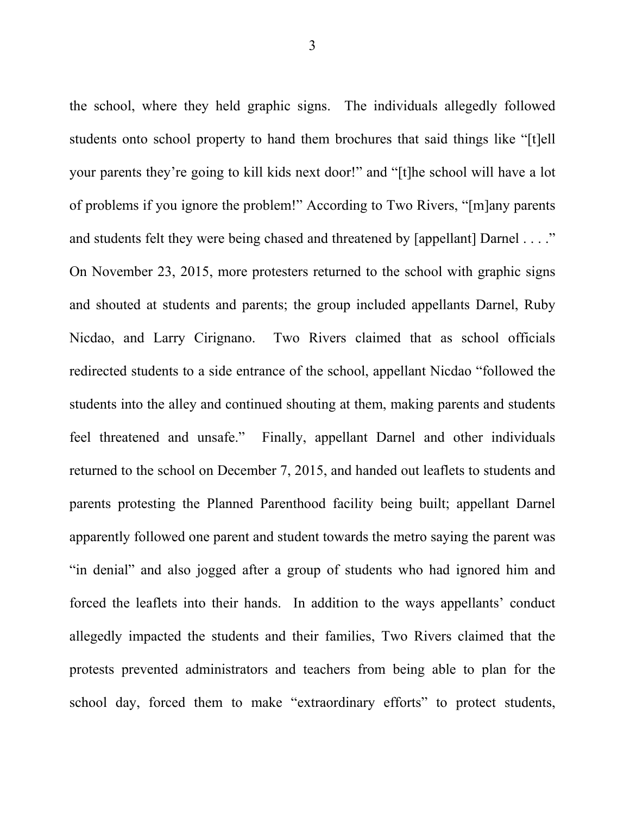the school, where they held graphic signs. The individuals allegedly followed students onto school property to hand them brochures that said things like "[t]ell your parents they're going to kill kids next door!" and "[t]he school will have a lot of problems if you ignore the problem!" According to Two Rivers, "[m]any parents and students felt they were being chased and threatened by [appellant] Darnel . . . ." On November 23, 2015, more protesters returned to the school with graphic signs and shouted at students and parents; the group included appellants Darnel, Ruby Nicdao, and Larry Cirignano. Two Rivers claimed that as school officials redirected students to a side entrance of the school, appellant Nicdao "followed the students into the alley and continued shouting at them, making parents and students feel threatened and unsafe."Finally, appellant Darnel and other individuals returned to the school on December 7, 2015, and handed out leaflets to students and parents protesting the Planned Parenthood facility being built; appellant Darnel apparently followed one parent and student towards the metro saying the parent was "in denial" and also jogged after a group of students who had ignored him and forced the leaflets into their hands. In addition to the ways appellants' conduct allegedly impacted the students and their families, Two Rivers claimed that the protests prevented administrators and teachers from being able to plan for the school day, forced them to make "extraordinary efforts" to protect students,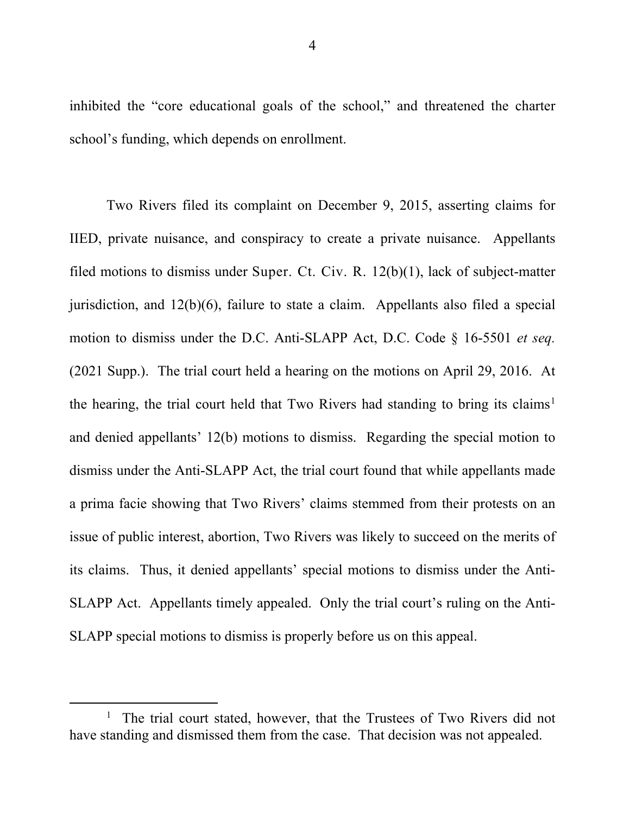inhibited the "core educational goals of the school," and threatened the charter school's funding, which depends on enrollment.

Two Rivers filed its complaint on December 9, 2015, asserting claims for IIED, private nuisance, and conspiracy to create a private nuisance. Appellants filed motions to dismiss under Super. Ct. Civ. R. 12(b)(1), lack of subject-matter jurisdiction, and 12(b)(6), failure to state a claim. Appellants also filed a special motion to dismiss under the D.C. Anti-SLAPP Act, D.C. Code § 16-5501 *et seq.* (2021 Supp.). The trial court held a hearing on the motions on April 29, 2016. At the hearing, the trial court held that Two Rivers had standing to bring its claims<sup>1</sup> and denied appellants' 12(b) motions to dismiss. Regarding the special motion to dismiss under the Anti-SLAPP Act, the trial court found that while appellants made a prima facie showing that Two Rivers' claims stemmed from their protests on an issue of public interest, abortion, Two Rivers was likely to succeed on the merits of its claims. Thus, it denied appellants' special motions to dismiss under the Anti-SLAPP Act. Appellants timely appealed. Only the trial court's ruling on the Anti-SLAPP special motions to dismiss is properly before us on this appeal.

<sup>&</sup>lt;sup>1</sup> The trial court stated, however, that the Trustees of Two Rivers did not have standing and dismissed them from the case. That decision was not appealed.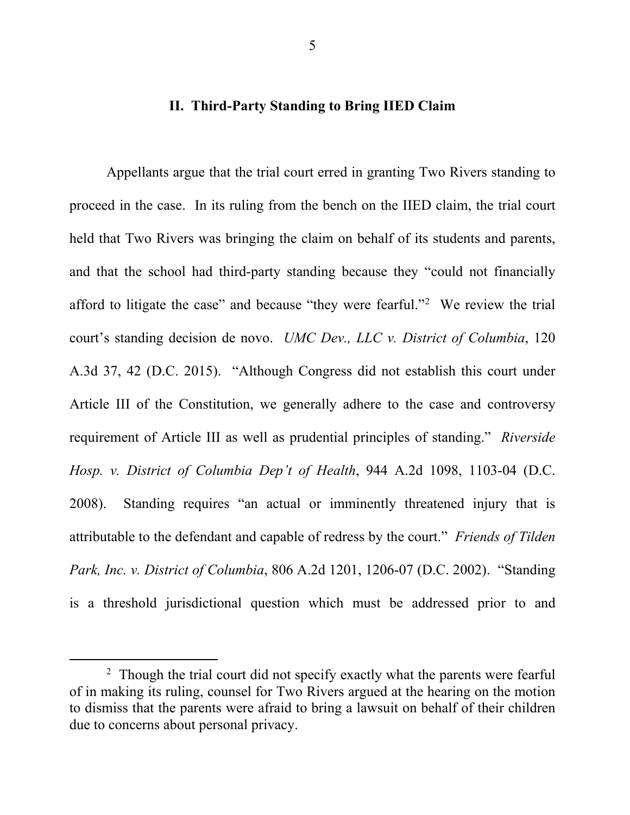#### **II. Third-Party Standing to Bring IIED Claim**

Appellants argue that the trial court erred in granting Two Rivers standing to proceed in the case. In its ruling from the bench on the IIED claim, the trial court held that Two Rivers was bringing the claim on behalf of its students and parents, and that the school had third-party standing because they "could not financially afford to litigate the case" and because "they were fearful."<sup>2</sup> We review the trial court's standing decision de novo. *UMC Dev., LLC v. District of Columbia*, 120 A.3d 37, 42 (D.C. 2015). "Although Congress did not establish this court under Article III of the Constitution, we generally adhere to the case and controversy requirement of Article III as well as prudential principles of standing." *Riverside Hosp. v. District of Columbia Dep't of Health*, 944 A.2d 1098, 1103-04 (D.C. 2008). Standing requires "an actual or imminently threatened injury that is attributable to the defendant and capable of redress by the court." *Friends of Tilden Park, Inc. v. District of Columbia*, 806 A.2d 1201, 1206-07 (D.C. 2002). "Standing is a threshold jurisdictional question which must be addressed prior to and

 $\overline{\phantom{2}}$ <sup>2</sup> Though the trial court did not specify exactly what the parents were fearful of in making its ruling, counsel for Two Rivers argued at the hearing on the motion to dismiss that the parents were afraid to bring a lawsuit on behalf of their children due to concerns about personal privacy.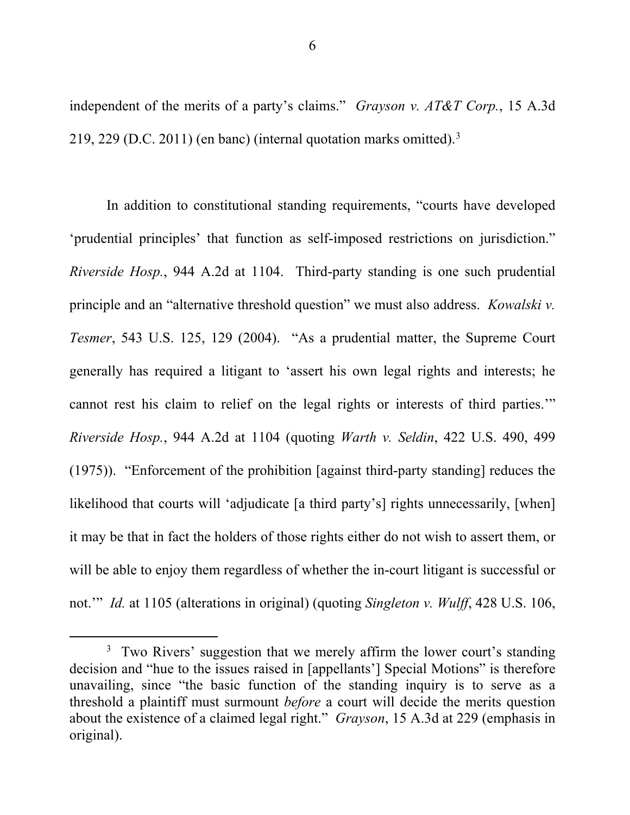independent of the merits of a party's claims." *Grayson v. AT&T Corp.*, 15 A.3d 219, 229 (D.C. 2011) (en banc) (internal quotation marks omitted).<sup>3</sup>

In addition to constitutional standing requirements, "courts have developed 'prudential principles' that function as self-imposed restrictions on jurisdiction." *Riverside Hosp.*, 944 A.2d at 1104. Third-party standing is one such prudential principle and an "alternative threshold question" we must also address. *Kowalski v. Tesmer*, 543 U.S. 125, 129 (2004). "As a prudential matter, the Supreme Court generally has required a litigant to 'assert his own legal rights and interests; he cannot rest his claim to relief on the legal rights or interests of third parties.'" *Riverside Hosp.*, 944 A.2d at 1104 (quoting *Warth v. Seldin*, 422 U.S. 490, 499 (1975)). "Enforcement of the prohibition [against third-party standing] reduces the likelihood that courts will 'adjudicate [a third party's] rights unnecessarily, [when] it may be that in fact the holders of those rights either do not wish to assert them, or will be able to enjoy them regardless of whether the in-court litigant is successful or not.'" *Id.* at 1105 (alterations in original) (quoting *Singleton v. Wulff*, 428 U.S. 106,

<sup>&</sup>lt;sup>3</sup> Two Rivers' suggestion that we merely affirm the lower court's standing decision and "hue to the issues raised in [appellants'] Special Motions" is therefore unavailing, since "the basic function of the standing inquiry is to serve as a threshold a plaintiff must surmount *before* a court will decide the merits question about the existence of a claimed legal right." *Grayson*, 15 A.3d at 229 (emphasis in original).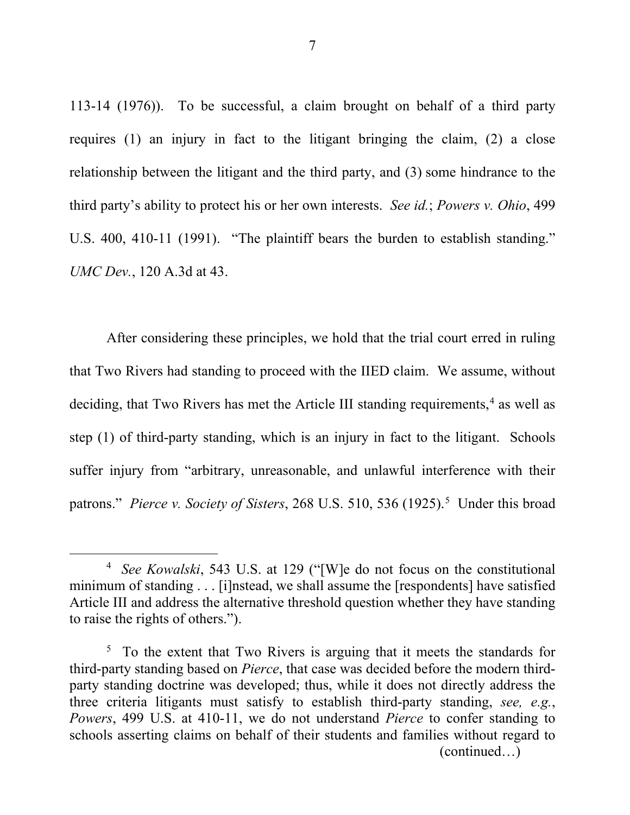113-14 (1976)). To be successful, a claim brought on behalf of a third party requires (1) an injury in fact to the litigant bringing the claim, (2) a close relationship between the litigant and the third party, and (3) some hindrance to the third party's ability to protect his or her own interests. *See id.*; *Powers v. Ohio*, 499 U.S. 400, 410-11 (1991). "The plaintiff bears the burden to establish standing." *UMC Dev.*, 120 A.3d at 43.

After considering these principles, we hold that the trial court erred in ruling that Two Rivers had standing to proceed with the IIED claim. We assume, without deciding, that Two Rivers has met the Article III standing requirements,<sup>4</sup> as well as step (1) of third-party standing, which is an injury in fact to the litigant. Schools suffer injury from "arbitrary, unreasonable, and unlawful interference with their patrons." *Pierce v. Society of Sisters*, 268 U.S. 510, 536 (1925).<sup>5</sup> Under this broad

 <sup>4</sup> *See Kowalski*, 543 U.S. at 129 ("[W]e do not focus on the constitutional minimum of standing . . . [i]nstead, we shall assume the [respondents] have satisfied Article III and address the alternative threshold question whether they have standing to raise the rights of others.").

<sup>&</sup>lt;sup>5</sup> To the extent that Two Rivers is arguing that it meets the standards for third-party standing based on *Pierce*, that case was decided before the modern thirdparty standing doctrine was developed; thus, while it does not directly address the three criteria litigants must satisfy to establish third-party standing, *see, e.g.*, *Powers*, 499 U.S. at 410-11, we do not understand *Pierce* to confer standing to schools asserting claims on behalf of their students and families without regard to (continued…)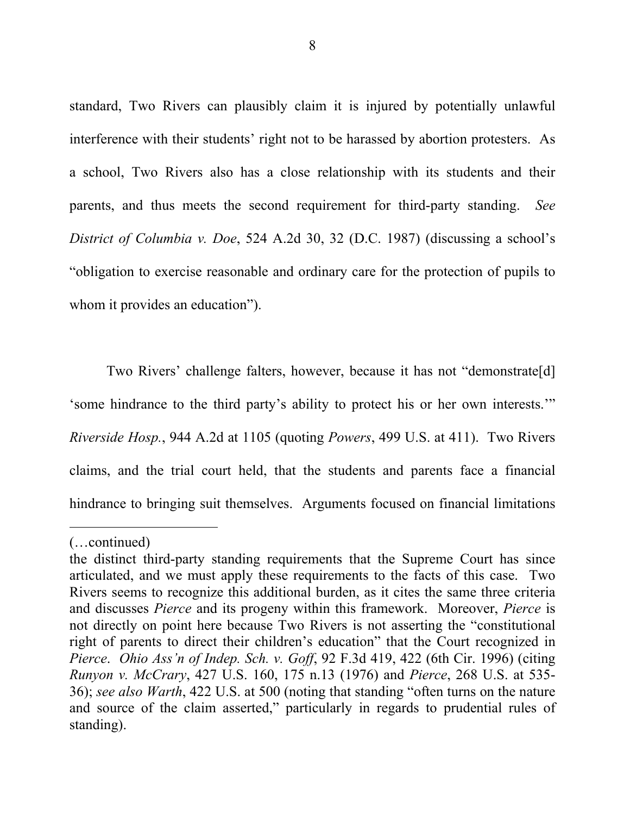standard, Two Rivers can plausibly claim it is injured by potentially unlawful interference with their students' right not to be harassed by abortion protesters. As a school, Two Rivers also has a close relationship with its students and their parents, and thus meets the second requirement for third-party standing. *See District of Columbia v. Doe*, 524 A.2d 30, 32 (D.C. 1987) (discussing a school's "obligation to exercise reasonable and ordinary care for the protection of pupils to whom it provides an education").

Two Rivers' challenge falters, however, because it has not "demonstrate[d] 'some hindrance to the third party's ability to protect his or her own interests.'" *Riverside Hosp.*, 944 A.2d at 1105 (quoting *Powers*, 499 U.S. at 411). Two Rivers claims, and the trial court held, that the students and parents face a financial hindrance to bringing suit themselves. Arguments focused on financial limitations

 $\overline{a}$ 

<sup>(…</sup>continued)

the distinct third-party standing requirements that the Supreme Court has since articulated, and we must apply these requirements to the facts of this case. Two Rivers seems to recognize this additional burden, as it cites the same three criteria and discusses *Pierce* and its progeny within this framework. Moreover, *Pierce* is not directly on point here because Two Rivers is not asserting the "constitutional right of parents to direct their children's education" that the Court recognized in *Pierce*. *Ohio Ass'n of Indep. Sch. v. Goff*, 92 F.3d 419, 422 (6th Cir. 1996) (citing *Runyon v. McCrary*, 427 U.S. 160, 175 n.13 (1976) and *Pierce*, 268 U.S. at 535- 36); *see also Warth*, 422 U.S. at 500 (noting that standing "often turns on the nature and source of the claim asserted," particularly in regards to prudential rules of standing).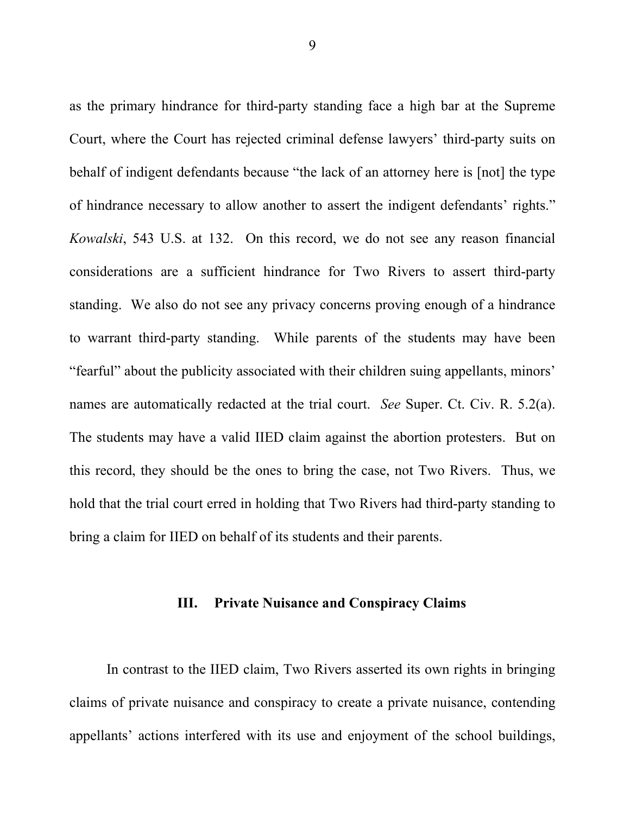as the primary hindrance for third-party standing face a high bar at the Supreme Court, where the Court has rejected criminal defense lawyers' third-party suits on behalf of indigent defendants because "the lack of an attorney here is [not] the type of hindrance necessary to allow another to assert the indigent defendants' rights." *Kowalski*, 543 U.S. at 132. On this record, we do not see any reason financial considerations are a sufficient hindrance for Two Rivers to assert third-party standing. We also do not see any privacy concerns proving enough of a hindrance to warrant third-party standing. While parents of the students may have been "fearful" about the publicity associated with their children suing appellants, minors' names are automatically redacted at the trial court. *See* Super. Ct. Civ. R. 5.2(a). The students may have a valid IIED claim against the abortion protesters. But on this record, they should be the ones to bring the case, not Two Rivers. Thus, we hold that the trial court erred in holding that Two Rivers had third-party standing to bring a claim for IIED on behalf of its students and their parents.

#### **III. Private Nuisance and Conspiracy Claims**

In contrast to the IIED claim, Two Rivers asserted its own rights in bringing claims of private nuisance and conspiracy to create a private nuisance, contending appellants' actions interfered with its use and enjoyment of the school buildings,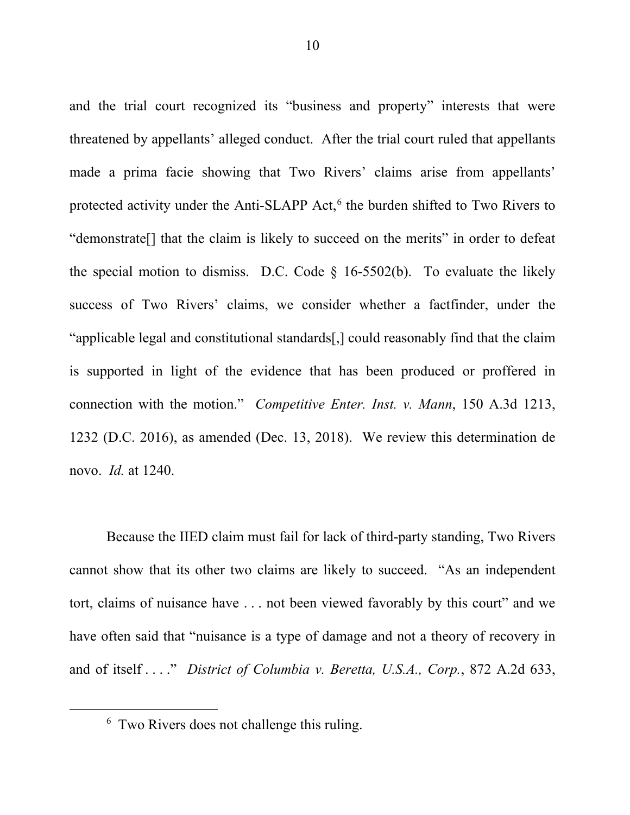and the trial court recognized its "business and property" interests that were threatened by appellants' alleged conduct. After the trial court ruled that appellants made a prima facie showing that Two Rivers' claims arise from appellants' protected activity under the Anti-SLAPP Act,<sup>6</sup> the burden shifted to Two Rivers to "demonstrate[] that the claim is likely to succeed on the merits" in order to defeat the special motion to dismiss. D.C. Code  $\S$  16-5502(b). To evaluate the likely success of Two Rivers' claims, we consider whether a factfinder, under the "applicable legal and constitutional standards[,] could reasonably find that the claim is supported in light of the evidence that has been produced or proffered in connection with the motion." *Competitive Enter. Inst. v. Mann*, 150 A.3d 1213, 1232 (D.C. 2016), as amended (Dec. 13, 2018). We review this determination de novo. *Id.* at 1240.

Because the IIED claim must fail for lack of third-party standing, Two Rivers cannot show that its other two claims are likely to succeed. "As an independent tort, claims of nuisance have . . . not been viewed favorably by this court" and we have often said that "nuisance is a type of damage and not a theory of recovery in and of itself . . . ." *District of Columbia v. Beretta, U.S.A., Corp.*, 872 A.2d 633,

 <sup>6</sup> Two Rivers does not challenge this ruling.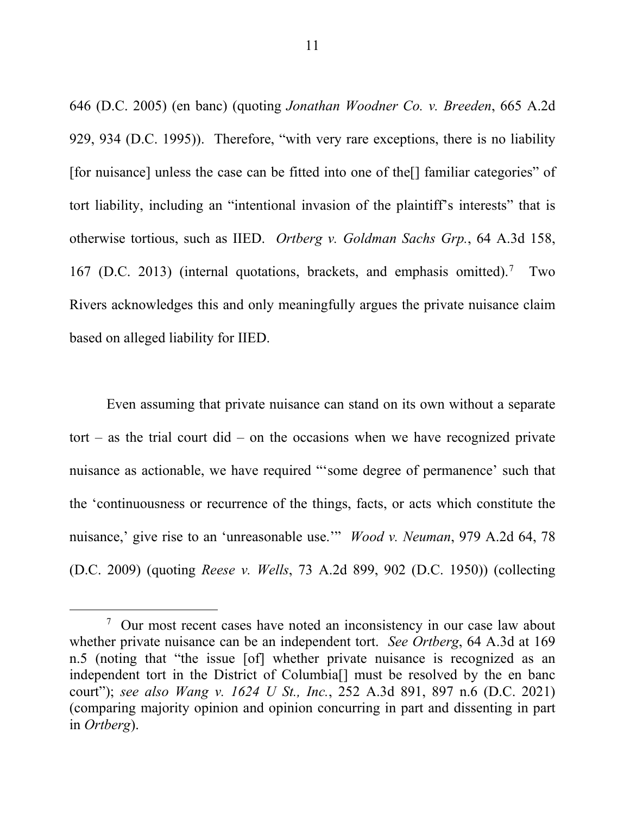646 (D.C. 2005) (en banc) (quoting *Jonathan Woodner Co. v. Breeden*, 665 A.2d 929, 934 (D.C. 1995)). Therefore, "with very rare exceptions, there is no liability [for nuisance] unless the case can be fitted into one of the[] familiar categories" of tort liability, including an "intentional invasion of the plaintiff's interests" that is otherwise tortious, such as IIED. *Ortberg v. Goldman Sachs Grp.*, 64 A.3d 158, 167 (D.C. 2013) (internal quotations, brackets, and emphasis omitted).7 Two Rivers acknowledges this and only meaningfully argues the private nuisance claim based on alleged liability for IIED.

Even assuming that private nuisance can stand on its own without a separate tort – as the trial court did – on the occasions when we have recognized private nuisance as actionable, we have required "'some degree of permanence' such that the 'continuousness or recurrence of the things, facts, or acts which constitute the nuisance,' give rise to an 'unreasonable use.'" *Wood v. Neuman*, 979 A.2d 64, 78 (D.C. 2009) (quoting *Reese v. Wells*, 73 A.2d 899, 902 (D.C. 1950)) (collecting

<sup>&</sup>lt;sup>7</sup> Our most recent cases have noted an inconsistency in our case law about whether private nuisance can be an independent tort. *See Ortberg*, 64 A.3d at 169 n.5 (noting that "the issue [of] whether private nuisance is recognized as an independent tort in the District of Columbia[] must be resolved by the en banc court"); *see also Wang v. 1624 U St., Inc.*, 252 A.3d 891, 897 n.6 (D.C. 2021) (comparing majority opinion and opinion concurring in part and dissenting in part in *Ortberg*).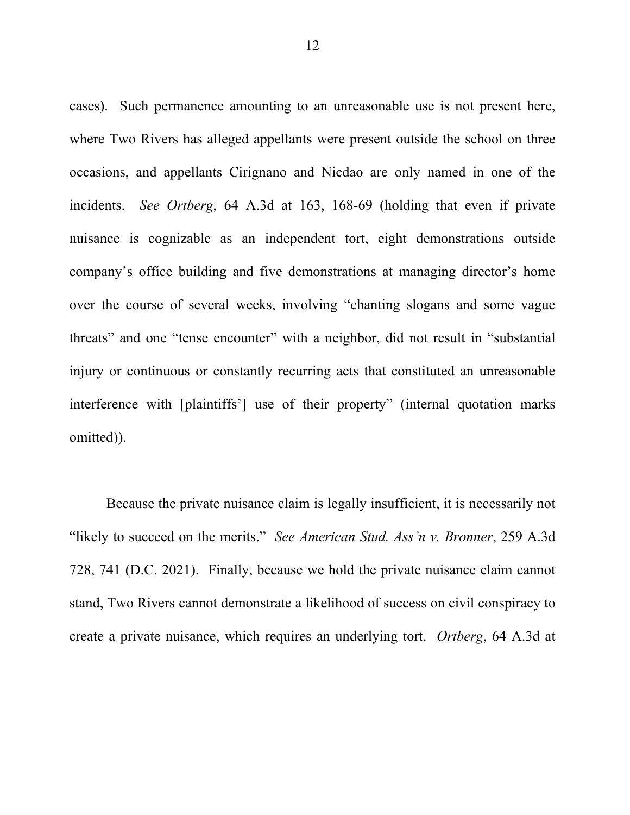cases). Such permanence amounting to an unreasonable use is not present here, where Two Rivers has alleged appellants were present outside the school on three occasions, and appellants Cirignano and Nicdao are only named in one of the incidents. *See Ortberg*, 64 A.3d at 163, 168-69 (holding that even if private nuisance is cognizable as an independent tort, eight demonstrations outside company's office building and five demonstrations at managing director's home over the course of several weeks, involving "chanting slogans and some vague threats" and one "tense encounter" with a neighbor, did not result in "substantial injury or continuous or constantly recurring acts that constituted an unreasonable interference with [plaintiffs'] use of their property" (internal quotation marks omitted)).

Because the private nuisance claim is legally insufficient, it is necessarily not "likely to succeed on the merits." *See American Stud. Ass'n v. Bronner*, 259 A.3d 728, 741 (D.C. 2021). Finally, because we hold the private nuisance claim cannot stand, Two Rivers cannot demonstrate a likelihood of success on civil conspiracy to create a private nuisance, which requires an underlying tort. *Ortberg*, 64 A.3d at